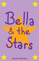## $36$   $12$  $th$ e tars

**Bryana Reardon**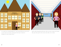

In a small town called Bridgetown, a girl named Bella has just moved to town and is new. She is starting her first day of school at Bridgetown Junior High School.



Bella walks through the halls alone. She is too shy to make new friends. She spots three girls in the corner and walks over to them.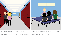



Bella starts talking to them. "Hi, I'm Bella, I'm new. Can I hangout with you guys?"asks Bella.

Ally responds, " Yeah sure, would you like to sit with us at lunch?" "Sure!" says Bella.

Later on that day at lunch, Bella finds the stars and sits with them. Throughout lunch Ally and the stars make fun of everyone around them, and Bella, trying to fit in, joins in with them.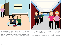

One day after school, Bella and the stars all gathered at her house. Bella walked away from her room to talk to her mom. She came back and found the girls looking through her yearbook and making fun of people. She realized they were making fun of her best friend from her old school.



The next day at school Bella was at her locker and a girl came up to her. "Hi, my name is Kristina, I'm new. Do you want to be friends?" The stars where near by and saw them talking. Ally got jealous and started talking about her, but it didn't bother her because she had a new friend.